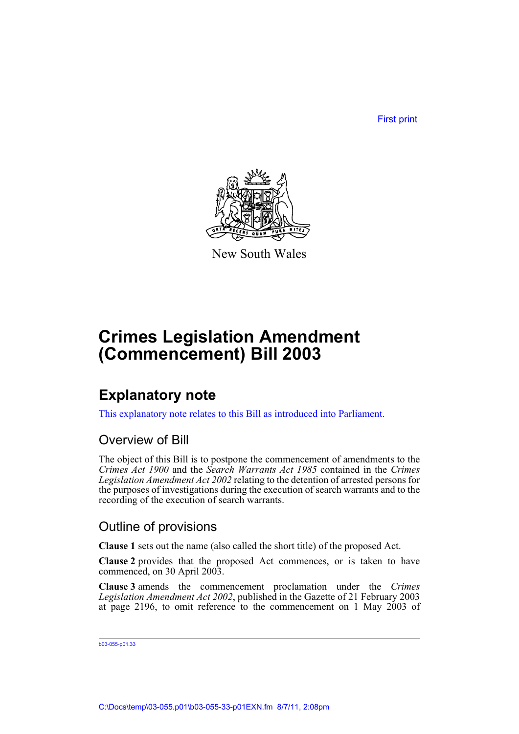First print



New South Wales

## **Crimes Legislation Amendment (Commencement) Bill 2003**

### **Explanatory note**

This explanatory note relates to this Bill as introduced into Parliament.

#### Overview of Bill

The object of this Bill is to postpone the commencement of amendments to the *Crimes Act 1900* and the *Search Warrants Act 1985* contained in the *Crimes Legislation Amendment Act 2002* relating to the detention of arrested persons for the purposes of investigations during the execution of search warrants and to the recording of the execution of search warrants.

#### Outline of provisions

**Clause 1** sets out the name (also called the short title) of the proposed Act.

**Clause 2** provides that the proposed Act commences, or is taken to have commenced, on 30 April 2003.

**Clause 3** amends the commencement proclamation under the *Crimes Legislation Amendment Act 2002*, published in the Gazette of 21 February 2003 at page 2196, to omit reference to the commencement on 1 May  $2003$  of

```
b03-055-p01.33
```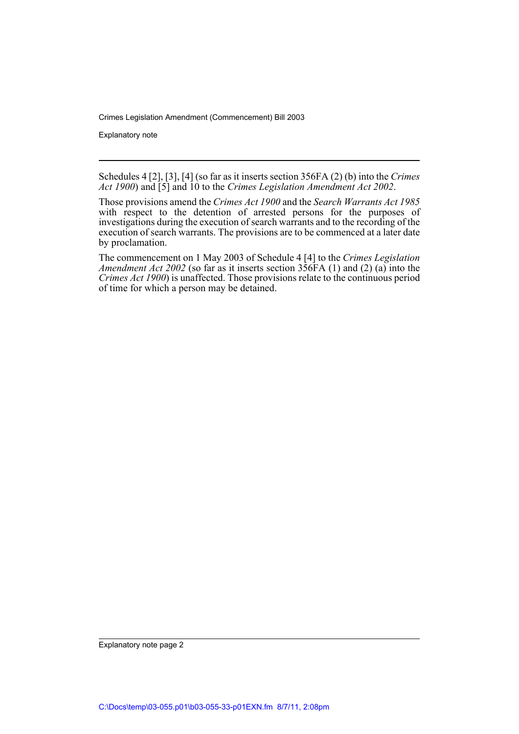Crimes Legislation Amendment (Commencement) Bill 2003

Explanatory note

Schedules 4 [2], [3], [4] (so far as it inserts section 356FA (2) (b) into the *Crimes Act 1900*) and [5] and 10 to the *Crimes Legislation Amendment Act 2002*.

Those provisions amend the *Crimes Act 1900* and the *Search Warrants Act 1985* with respect to the detention of arrested persons for the purposes of investigations during the execution of search warrants and to the recording of the execution of search warrants. The provisions are to be commenced at a later date by proclamation.

The commencement on 1 May 2003 of Schedule 4 [4] to the *Crimes Legislation Amendment Act 2002* (so far as it inserts section 356FA (1) and (2) (a) into the *Crimes Act 1900*) is unaffected. Those provisions relate to the continuous period of time for which a person may be detained.

Explanatory note page 2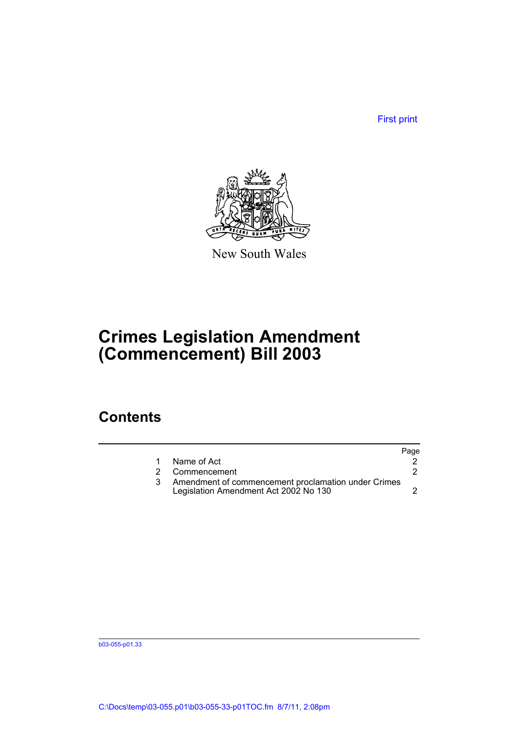First print



New South Wales

## **Crimes Legislation Amendment (Commencement) Bill 2003**

#### **Contents**

|                |                                                                                              | Page |
|----------------|----------------------------------------------------------------------------------------------|------|
|                | Name of Act                                                                                  |      |
| $\overline{2}$ | Commencement                                                                                 |      |
|                | Amendment of commencement proclamation under Crimes<br>Legislation Amendment Act 2002 No 130 |      |

b03-055-p01.33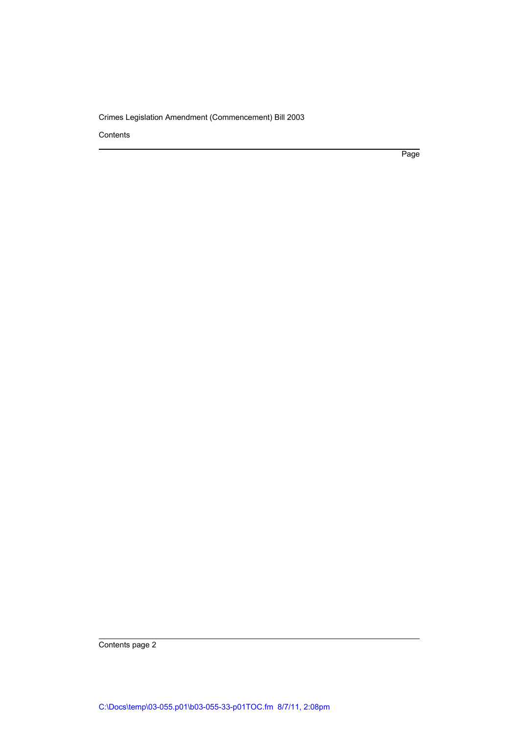Crimes Legislation Amendment (Commencement) Bill 2003

Contents

Page

Contents page 2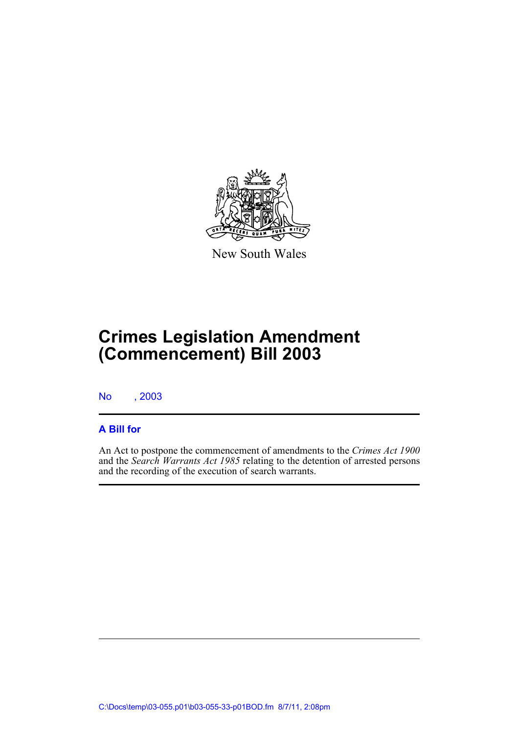

New South Wales

# **Crimes Legislation Amendment (Commencement) Bill 2003**

No , 2003

#### **A Bill for**

An Act to postpone the commencement of amendments to the *Crimes Act 1900* and the *Search Warrants Act 1985* relating to the detention of arrested persons and the recording of the execution of search warrants.